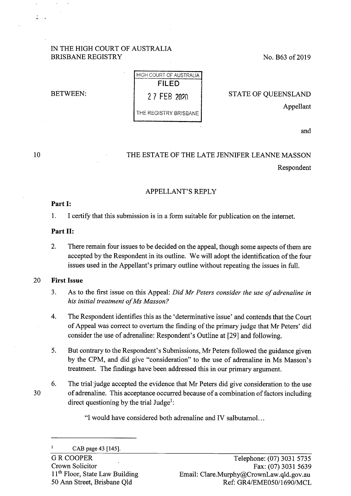## IN THE HIGH COURT OF AUSTRALIA BRISBANE REGISTRY

No. B63 of 2019

BETWEEN:

HIGH COURT Of AUSTRALIA **FILED**  2 7 FEB 20W THE REGISTRY BRISBANE

STATE OF QUEENSLAND Appellant

and

# THE ESTATE OF THE LATE JENNIFER LEANNE MASSON Respondent

# APPELLANT'S REPLY

#### **Part I:**

10

 $\mathbb{Z}$  .  $\mathbb{Z}$ 

1. I certify that this submission is in a form suitable for publication on the internet.

#### **Part II:**

2. There remain four issues to be decided on the appeal, though some aspects of them are accepted by the Respondent in its outline. We will adopt the identification of the four issues used in the Appellant's primary outline without repeating the issues in full.

## 20 **First Issue**

- 3. As to the first issue on this Appeal: *Did Mr Peters consider the use of adrenaline in his initial treatment of Ms Masson?*
- 4. The Respondent identifies this as the 'determinative issue' and contends that the Court of Appeal was correct to overturn the finding of the primary judge that Mr Peters' did consider the use of adrenaline: Respondent's Outline at [29] and following.
- 5. But contrary to the Respondent's Submissions, Mr Peters followed the guidance given by the CPM, and did give "consideration" to the use of adrenaline in Ms Masson's treatment. The findings have been addressed this in our primary argument.
- 6. The trial 'judge accepted the evidence that Mr Peters did give consideration to the use 30 of adrenaline. This acceptance occurred because of a combination of factors including direct questioning by the trial Judge<sup>1</sup>:

"I would have considered both adrenaline and IV salbutamol. ..

 $\mathbf{1}$ CAB page 43 [145].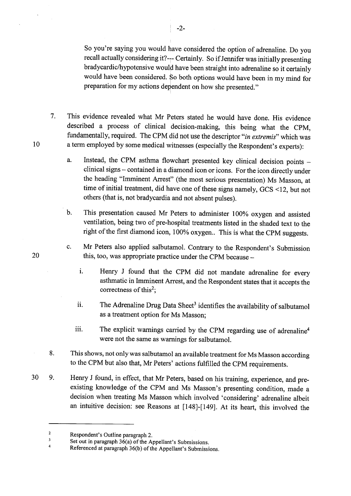So you're saying you would have considered the option of adrenaline. Do you recall actually considering it?--- Certainly. So if Jennifer was initially presenting bradycardic/hypotensive would have been straight into adrenaline so it certainly would have been considered. So both options would have been in my mind for preparation for my actions dependent on how she presented."

7. This evidence revealed what Mr Peters stated he would have done. His evidence described a process of clinical decision-making, this being what the CPM, fundamentally, required. The CPM did not use the descriptor *"in extremis"* which was a term employed by some medical witnesses (especially the Respondent's experts):

- a. Instead, the CPM asthma flowchart presented key clinical decision points clinical signs - contained in a diamond icon or icons. For the icon directly under the heading "Imminent Arrest" (the most serious presentation) Ms Masson, at time of initial treatment, did have one of these signs namely, GCS <12, but not others (that is, not bradycardia and not absent pulses).
- b. This presentation caused Mr Peters to administer 100% oxygen and assisted ventilation, being two of pre-hospital treatments listed in the shaded text to the right of the first diamond icon, 100% oxygen.. This is what the CPM suggests.
- c. Mr Peters also applied salbutamol. Contrary to the Respondent's Submission this, too, was appropriate practice under the CPM because
	- i. Henry J found that the CPM did not mandate adrenaline for every asthmatic in Imminent Arrest, and the Respondent states that it accepts the correctness of this<sup>2</sup>;
	- ii. The Adrenaline Drug Data Sheet<sup>3</sup> identifies the availability of salbutamol as a treatment option for Ms Masson;
	- iii. The explicit warnings carried by the CPM regarding use of adrenaline<sup>4</sup> were not the same as warnings for salbutamol.
- 8. This shows, not only was salbutamol an available treatment for Ms Masson according to the CPM but also that, Mr Peters' actions fulfilled the CPM requirements.
- <sup>30</sup>9. Henry J found, in effect, that Mr Peters, based on his training, experience, and preexisting knowledge of the CPM and Ms Masson's presenting condition, made a decision when treating Ms Masson which involved 'considering' adrenaline albeit an intuitive decision: see Reasons at [148]-[149]. At its heart, this involved the

20

10

! -2-

 $\overline{2}$ Respondent's Outline paragraph 2.

 $\overline{\mathbf{3}}$ Set out in paragraph 36(a) of the Appellant's Submissions.

<sup>4</sup>  Referenced at paragraph 36(b) of the Appellant's Submissions.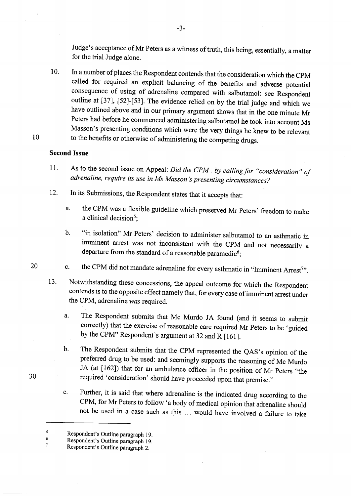Judge's acceptance of Mr Peters as a witness of truth, this being, essentially, a matter for the trial Judge alone.

10. In a number of places the Respondent contends that the consideration which the CPM called for required an explicit balancing of the benefits and adverse potential consequence of using of adrenaline compared with salbutamol: see Respondent outline at [37], [52]-[53]. The evidence relied on by the trial judge and which we have outlined above and in our primary argument shows that in the one minute Mr Peters had before he commenced administering salbutamol he took into account Ms Masson's presenting conditions which were the very things he knew to be relevant to the benefits or otherwise of administering the competing drugs.

# **Second Issue**

- 11. As to the second issue on Appeal: *Did the CPM, by calling for "consideration" of adrenaline, require its use in Ms Masson 's presenting circumstances?*
- 12. In its Submissions, the Respondent states that it accepts that:
	- a. the CPM was a flexible guideline which preserved Mr Peters' freedom to make a clinical decision<sup>5</sup>;
	- b. "in isolation" Mr Peters' decision to administer salbutamol to an asthmatic in imminent arrest was not inconsistent with the CPM and not necessarily a departure from the standard of a reasonable paramedic $^6;$
- c. the CPM did not mandate adrenaline for every asthmatic in "Imminent Arrest<sup>7</sup>".
- 13. Notwithstanding these concessions, the appeal outcome for which the Respondent contends is to the opposite effect namely that, for every case of imminent arrest under the CPM, adrenaline *was* required.
	- a. The Respondent submits that Mc Murdo JA found (and it seems to submit correctly) that the exercise of reasonable care required Mr Peters to be 'guided by the CPM" Respondent's argument at 32 and R [161].
	- b. The Respondent submits that the CPM represented the QAS's opinion of the preferred drug to be used: and seemingly supports the reasoning of Mc Murdo JA (at [162]) that for an ambulance officer in the position of Mr Peters "the required 'consideration' should have proceeded upon that premise."
	- c. Further, it is said that where adrenaline is the indicated drug according to the CPM, for Mr Peters to follow 'a body of medical opinion that adrenaline should not be used in a case such as this ... would have involved a failure to take

20

30

10

-3-

 $\sqrt{2}$ Respondent's Outline paragraph 19.

<sup>6</sup>  Respondent's Outline paragraph 19.

<sup>7</sup>  Respondent's Outline paragraph 2.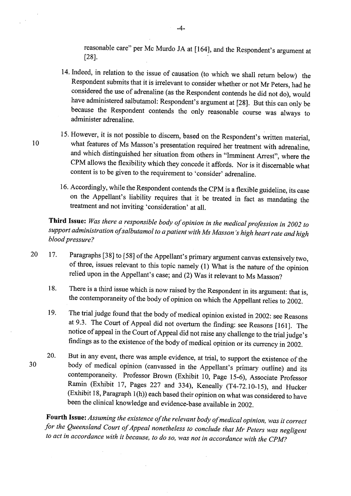reasonable care" per Mc Murdo JA at [164], and the Respondent's argument at [28].  $\blacksquare$ 

- 14. Indeed, in relation to the issue of causation (to which we shall return below) the Respondent submits that it is irrelevant to consider whether or not Mr Peters, had he considered the use of adrenaline (as the Respondent contends he did not do), would have administered salbutamol: Respondent's argument at [28]. But this can only be because the Respondent contends the only reasonable course was always to administer adrenaline.
- 15. However, it is not possible to discern, based on the Respondent's written material, 10 what features of Ms Masson's presentation required her treatment with adrenaline, and which distinguished her situation from others in "Imminent Arrest", where the CPM allows the flexibility which they concede it affords. Nor is it discernable what content is to be given to the requirement to 'consider' adrenaline.
	- 16. Accordingly, while the Respondent contends the CPM is a flexible guideline, its case on the Appellant's liability requires that it be treated in fact as mandating the treatment and not inviting 'consideration' at all.

**Third Issue:** *Was there a responsible body of opinion in the medical profession in 2002 to support administration of salbutamol to a patient with Ms Masson 's high heart rate and high blood pressure?* 

- <sup>20</sup>17. Paragraphs [38] to [58] of the Appellant's primary argument canvas extensively two, of three, issues relevant to this topic namely ( 1) What is the nature of the opinion relied upon in the Appellant's case; and (2) Was it relevant to Ms Masson?
	- 18. There is a third issue which is now raised by the Respondent in its argument: that is, the contemporaneity of the body of opinion on which the Appellant relies to 2002.
	- 19. The trial judge found that the body of medical opinion existed in 2002: see Reasons at 9.3. The Court of Appeal did not overturn the finding: see Reasons [161]. The notice of appeal in the Court of Appeal did not raise any challenge to the trial judge's findings as to the existence of the body of medical opinion or its currency in 2002.
	- 20. But in any event, there was ample evidence, at trial, to support the existence of the body of medical opinion (canvassed in the Appellant's primary outline) and its contemporaneity. Professor Brown (Exhibit 10, Page 15-6), Associate Professor Ramin (Exhibit 17, Pages 227 and 334), Keneally (T4-72.10-15), and Hucker (Exhibit 18, Paragraph 1(h)) each based their opinion on what was considered to have been the clinical knowledge and evidence-base available in 2002.

**Fourth Issue:** *Assuming the existence of the relevant body of medical opinion, was it correct for the Queensland Court of Appeal nonetheless to conclude that Mr Peters was negligent to act in accordance with it because, to do so, was not in accordance with the CPM?* 

30